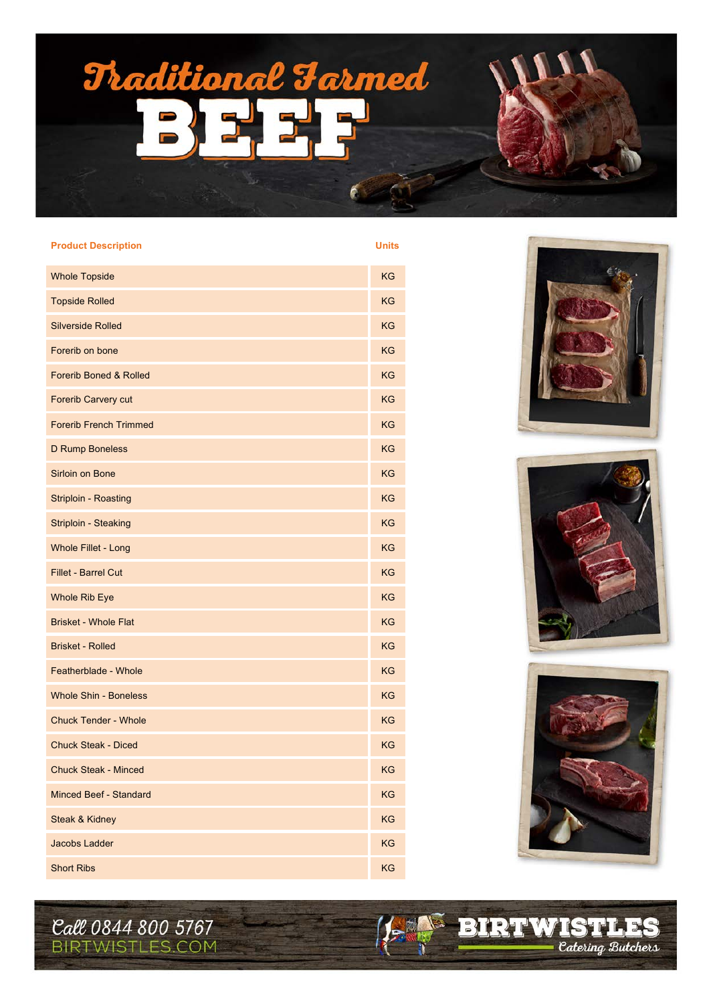

| <b>Product Description</b>        | <b>Units</b> |
|-----------------------------------|--------------|
| <b>Whole Topside</b>              | <b>KG</b>    |
| <b>Topside Rolled</b>             | <b>KG</b>    |
| <b>Silverside Rolled</b>          | ΚG           |
| Forerib on bone                   | <b>KG</b>    |
| <b>Forerib Boned &amp; Rolled</b> | <b>KG</b>    |
| Forerib Carvery cut               | <b>KG</b>    |
| <b>Forerib French Trimmed</b>     | <b>KG</b>    |
| D Rump Boneless                   | <b>KG</b>    |
| Sirloin on Bone                   | <b>KG</b>    |
| Striploin - Roasting              | KG           |
| Striploin - Steaking              | <b>KG</b>    |
| <b>Whole Fillet - Long</b>        | <b>KG</b>    |
| <b>Fillet - Barrel Cut</b>        | <b>KG</b>    |
| <b>Whole Rib Eye</b>              | ΚG           |
| <b>Brisket - Whole Flat</b>       | <b>KG</b>    |
| <b>Brisket - Rolled</b>           | <b>KG</b>    |
| Featherblade - Whole              | KG           |
| <b>Whole Shin - Boneless</b>      | ΚG           |
| <b>Chuck Tender - Whole</b>       | ΚG           |
| <b>Chuck Steak - Diced</b>        | ΚG           |
| Chuck Steak - Minced              | KG           |
| Minced Beef - Standard            | KG           |
| Steak & Kidney                    | KG           |
| Jacobs Ladder                     | KG           |
| <b>Short Ribs</b>                 | KG           |







*Catering Butchers* 

**EIRTWISTLES** 

15

Call 0844 800 5767 **BIRTWISTLES.COM**